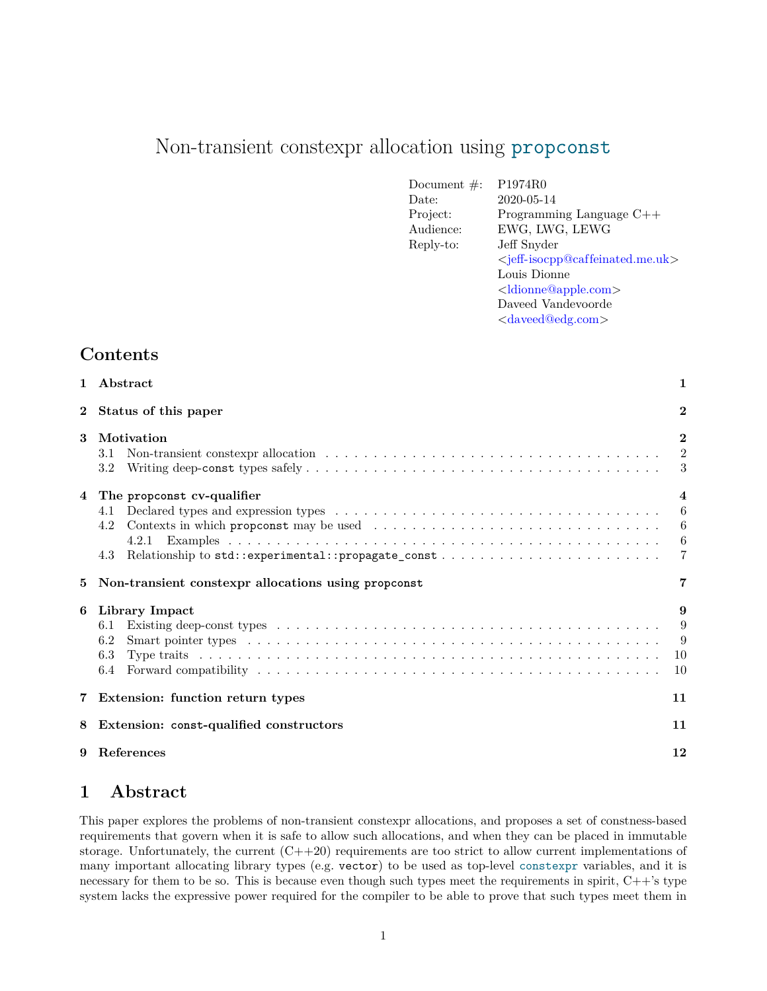# Non-transient constexpr allocation using propconst

| Document $\#$ : | P <sub>1974</sub> R <sub>0</sub>                                |
|-----------------|-----------------------------------------------------------------|
| Date:           | 2020-05-14                                                      |
| Project:        | Programming Language $C++$                                      |
| Audience:       | EWG, LWG, LEWG                                                  |
| Reply-to:       | Jeff Snyder                                                     |
|                 | <jeff-isocpp@caffeinated.me.uk></jeff-isocpp@caffeinated.me.uk> |
|                 | Louis Dionne                                                    |
|                 | <ldionne@apple.com></ldionne@apple.com>                         |
|                 | Daveed Vandevoorde                                              |
|                 | <daveed@edg.com></daveed@edg.com>                               |

# **Contents**

| $\mathbf{1}$ | $A$ bstract                                                                                            | $\mathbf{1}$                                         |
|--------------|--------------------------------------------------------------------------------------------------------|------------------------------------------------------|
| $\mathbf{2}$ | Status of this paper                                                                                   | $\overline{2}$                                       |
| 3            | Motivation<br>3.1<br>3.2                                                                               | $\overline{2}$<br>$\overline{2}$<br>3                |
| 4<br>5       | The propconst cv-qualifier<br>4.1<br>4.2<br>4.3<br>Non-transient constexpr allocations using propconst | $\overline{4}$<br>6<br>6<br>6<br>$\overline{7}$<br>7 |
|              |                                                                                                        |                                                      |
| 6            | Library Impact<br>6.1<br>6.2<br>6.3<br>6.4                                                             | 9<br>9<br>9<br>10<br>10                              |
|              | 7 Extension: function return types                                                                     | 11                                                   |
| 8            | Extension: const-qualified constructors                                                                | 11                                                   |

# <span id="page-0-0"></span>**1 Abstract**

This paper explores the problems of non-transient constexpr allocations, and proposes a set of constness-based requirements that govern when it is safe to allow such allocations, and when they can be placed in immutable storage. Unfortunately, the current  $(C+20)$  requirements are too strict to allow current implementations of many important allocating library types (e.g. vector) to be used as top-level constexpr variables, and it is necessary for them to be so. This is because even though such types meet the requirements in spirit, C++'s type system lacks the expressive power required for the compiler to be able to prove that such types meet them in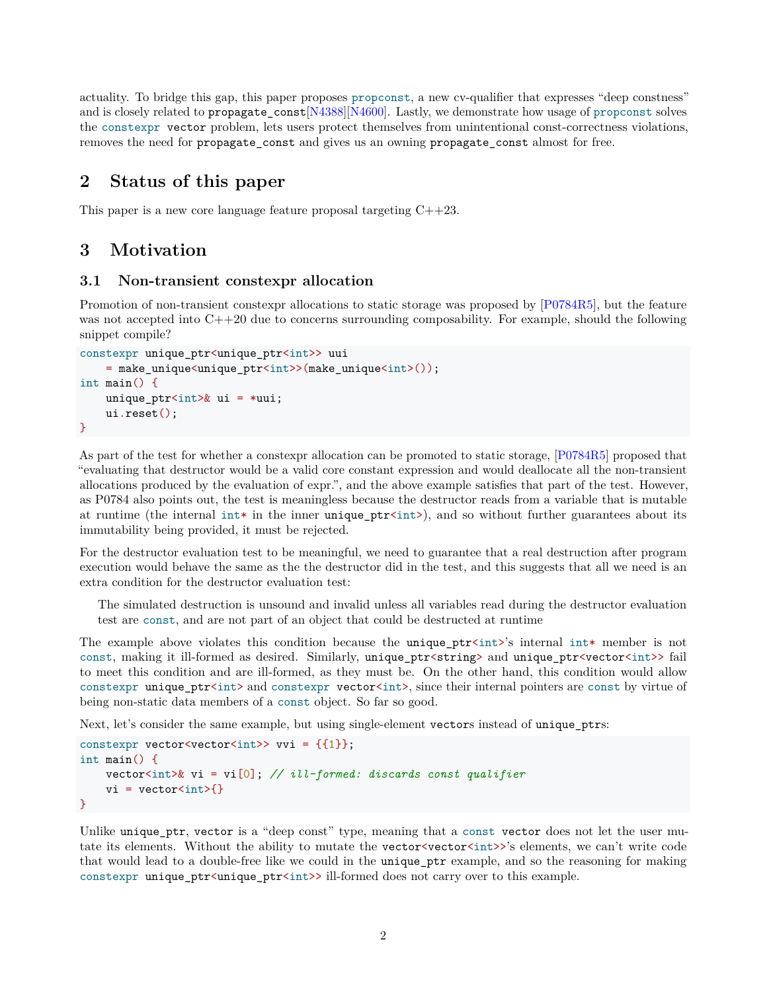actuality. To bridge this gap, this paper proposes propconst, a new cv-qualifier that expresses "deep constness" and is closely related to propagate\_const[\[N4388\]](#page-11-1)[\[N4600\]](#page-11-2). Lastly, we demonstrate how usage of propconst solves the constexpr vector problem, lets users protect themselves from unintentional const-correctness violations, removes the need for propagate\_const and gives us an owning propagate\_const almost for free.

# <span id="page-1-0"></span>**2 Status of this paper**

This paper is a new core language feature proposal targeting  $C++23$ .

# <span id="page-1-1"></span>**3 Motivation**

#### <span id="page-1-2"></span>**3.1 Non-transient constexpr allocation**

Promotion of non-transient constexpr allocations to static storage was proposed by [\[P0784R5\]](#page-11-3), but the feature was not accepted into  $C++20$  due to concerns surrounding composability. For example, should the following snippet compile?

```
constexpr unique_ptr<unique_ptr<int>> uui
   = make_unique<unique_ptr<int>>(make_unique<int>());
int main() {
   unique_ptr<int>& ui = *uui;
   ui.reset();
}
```
As part of the test for whether a constexpr allocation can be promoted to static storage, [\[P0784R5\]](#page-11-3) proposed that "evaluating that destructor would be a valid core constant expression and would deallocate all the non-transient allocations produced by the evaluation of expr.", and the above example satisfies that part of the test. However, as P0784 also points out, the test is meaningless because the destructor reads from a variable that is mutable at runtime (the internal int\* in the inner unique\_ptr<int>), and so without further guarantees about its immutability being provided, it must be rejected.

For the destructor evaluation test to be meaningful, we need to guarantee that a real destruction after program execution would behave the same as the the destructor did in the test, and this suggests that all we need is an extra condition for the destructor evaluation test:

The simulated destruction is unsound and invalid unless all variables read during the destructor evaluation test are const, and are not part of an object that could be destructed at runtime

The example above violates this condition because the unique\_ptr<int>'s internal int\* member is not const, making it ill-formed as desired. Similarly, unique\_ptr<string> and unique\_ptr<vector<int>> fail to meet this condition and are ill-formed, as they must be. On the other hand, this condition would allow constexpr unique\_ptr<int> and constexpr vector<int>, since their internal pointers are const by virtue of being non-static data members of a const object. So far so good.

Next, let's consider the same example, but using single-element vectors instead of unique\_ptrs:

```
constexpr vector<vector<int>> vvi = {{1}};
int main() {
    vector<int>& vi = vi[0]; // ill-formed: discards const qualifier
    vi = vector<int>\}</math>}
```
Unlike unique\_ptr, vector is a "deep const" type, meaning that a const vector does not let the user mutate its elements. Without the ability to mutate the vector <vector <int>>>>'s elements, we can't write code that would lead to a double-free like we could in the unique\_ptr example, and so the reasoning for making constexpr unique\_ptr<unique\_ptr<int>>ill-formed does not carry over to this example.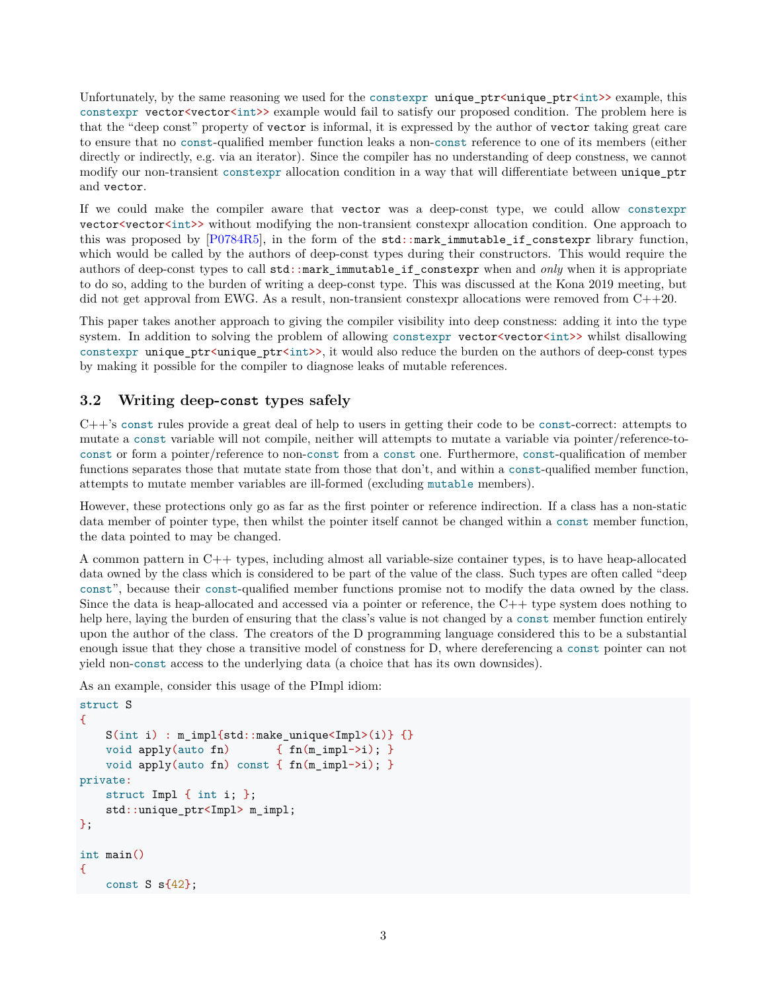Unfortunately, by the same reasoning we used for the constexpr unique\_ptr<unique\_ptr<int>> example, this constexpr vector<vector<int>>example would fail to satisfy our proposed condition. The problem here is that the "deep const" property of vector is informal, it is expressed by the author of vector taking great care to ensure that no const-qualified member function leaks a non-const reference to one of its members (either directly or indirectly, e.g. via an iterator). Since the compiler has no understanding of deep constness, we cannot modify our non-transient constexpr allocation condition in a way that will differentiate between unique\_ptr and vector.

If we could make the compiler aware that vector was a deep-const type, we could allow constexpr vector <vector int>> without modifying the non-transient constexpr allocation condition. One approach to this was proposed by [\[P0784R5\]](#page-11-3), in the form of the std::mark\_immutable\_if\_constexpr library function, which would be called by the authors of deep-const types during their constructors. This would require the authors of deep-const types to call std::mark\_immutable\_if\_constexpr when and *only* when it is appropriate to do so, adding to the burden of writing a deep-const type. This was discussed at the Kona 2019 meeting, but did not get approval from EWG. As a result, non-transient constexpr allocations were removed from  $C++20$ .

This paper takes another approach to giving the compiler visibility into deep constness: adding it into the type system. In addition to solving the problem of allowing constexpr vector vector int>> whilst disallowing constexpr unique\_ptr<unique\_ptr<int>>, it would also reduce the burden on the authors of deep-const types by making it possible for the compiler to diagnose leaks of mutable references.

#### <span id="page-2-0"></span>**3.2 Writing deep-const types safely**

C++'s const rules provide a great deal of help to users in getting their code to be const-correct: attempts to mutate a const variable will not compile, neither will attempts to mutate a variable via pointer/reference-toconst or form a pointer/reference to non-const from a const one. Furthermore, const-qualification of member functions separates those that mutate state from those that don't, and within a const-qualified member function, attempts to mutate member variables are ill-formed (excluding mutable members).

However, these protections only go as far as the first pointer or reference indirection. If a class has a non-static data member of pointer type, then whilst the pointer itself cannot be changed within a const member function, the data pointed to may be changed.

A common pattern in C++ types, including almost all variable-size container types, is to have heap-allocated data owned by the class which is considered to be part of the value of the class. Such types are often called "deep const", because their const-qualified member functions promise not to modify the data owned by the class. Since the data is heap-allocated and accessed via a pointer or reference, the C++ type system does nothing to help here, laying the burden of ensuring that the class's value is not changed by a const member function entirely upon the author of the class. The creators of the D programming language considered this to be a substantial enough issue that they chose a transitive model of constness for D, where dereferencing a const pointer can not yield non-const access to the underlying data (a choice that has its own downsides).

As an example, consider this usage of the PImpl idiom:

```
struct S
{
   S(int i) : m_impl{std::make_unique<Impl>(i)} {}
   void apply(auto fn) { fn(m_impl->i); }
   void apply(auto fn) const { fn(m_impl->i); }
private:
   struct Impl { int i; };
   std::unique_ptr<Impl> m_impl;
};
int main()
{
   const S s\{42\};
```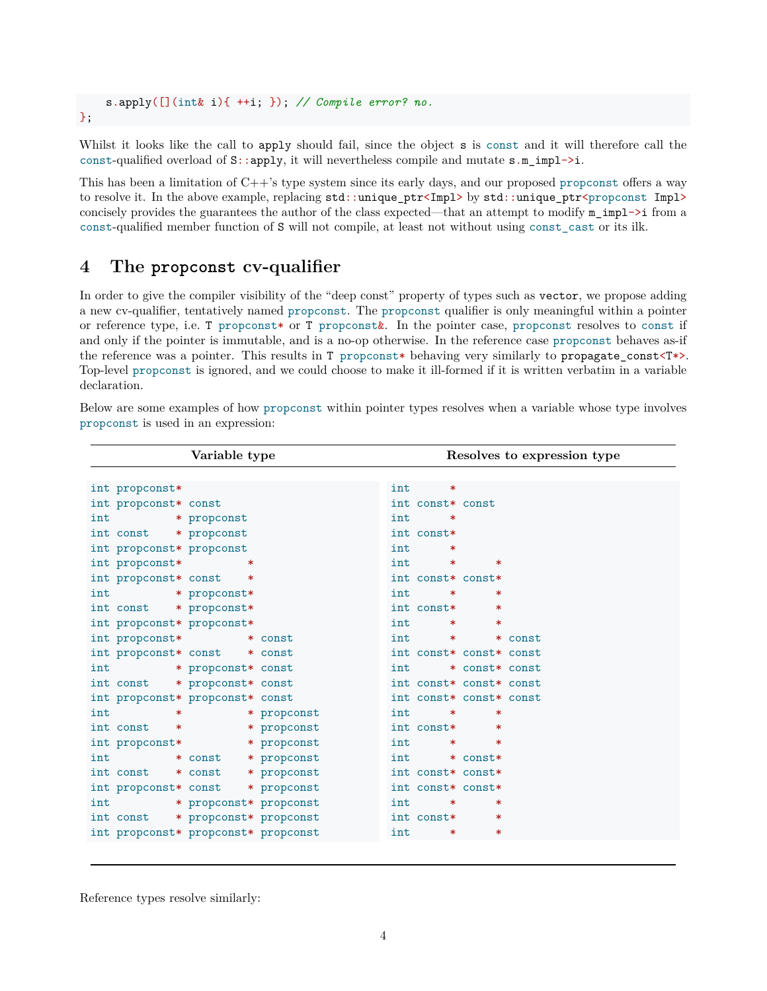s.apply([](int& i){ ++i; }); *// Compile error? no.*

#### };

Whilst it looks like the call to apply should fail, since the object s is const and it will therefore call the const-qualified overload of S::apply, it will nevertheless compile and mutate s.m\_impl->i.

This has been a limitation of C++'s type system since its early days, and our proposed propconst offers a way to resolve it. In the above example, replacing  $std:$ :unique\_ptr<Impl> by  $std:$ :unique\_ptr<propconst Impl> concisely provides the guarantees the author of the class expected—that an attempt to modify  $m\_imp1\rightarrow i$  from a const-qualified member function of S will not compile, at least not without using const\_cast or its ilk.

### <span id="page-3-0"></span>**4 The propconst cv-qualifier**

In order to give the compiler visibility of the "deep const" property of types such as vector, we propose adding a new cv-qualifier, tentatively named propconst. The propconst qualifier is only meaningful within a pointer or reference type, i.e. T propconst\* or T propconst&. In the pointer case, propconst resolves to const if and only if the pointer is immutable, and is a no-op otherwise. In the reference case propconst behaves as-if the reference was a pointer. This results in T propconst\* behaving very similarly to propagate\_const<T\*>. Top-level propconst is ignored, and we could choose to make it ill-formed if it is written verbatim in a variable declaration.

Below are some examples of how propconst within pointer types resolves when a variable whose type involves propconst is used in an expression:

| Variable type                                     | Resolves to expression type                   |
|---------------------------------------------------|-----------------------------------------------|
|                                                   |                                               |
| int propconst*                                    | int<br>∗                                      |
| int propconst* const                              | int const* const                              |
| int<br>* propconst                                | int<br>∗                                      |
| int const * propconst                             | int const*                                    |
| int propconst* propconst                          | int<br>∗                                      |
| int propconst*<br>$\ast$                          | int<br>$\ast$<br>∗                            |
| int propconst* const *                            | int const* const*                             |
| int<br>* propconst*                               | int<br>∗<br>$\ast$                            |
| int const * propconst*                            | int const*<br>∗                               |
| int propconst* propconst*                         | int<br>$\ast$<br>$\ast$                       |
| int propconst* * const                            | int<br>* const<br>$\star$ . The set of $\sim$ |
| int propconst* const * const                      | int const* const* const                       |
| int<br>* propconst* const                         | * const* const<br>int                         |
| int const * propconst* const                      | int const* const* const                       |
| int propconst* propconst* const                   | int const* const* const                       |
| int<br>$\mathbf x$ and $\mathbf x$<br>* propconst | int<br>∗<br>$\ast$                            |
| int const<br>* propconst<br>$\ast$                | int const*<br>∗                               |
| * propconst<br>int propconst*                     | int<br>$\ast$<br>$\ast$                       |
| * const * propconst<br>int                        | int<br>* const*                               |
| int const * const<br>* propconst                  | int const* const*                             |
| int propconst* const * propconst                  | int const* const*                             |
| int * propconst* propconst                        | int<br>$\ast$<br>∗                            |
| int const * propconst* propconst                  | int const*<br>$\ast$                          |
| int propconst* propconst* propconst               | int<br>$\ast$<br>$\ast$                       |
|                                                   |                                               |

Reference types resolve similarly: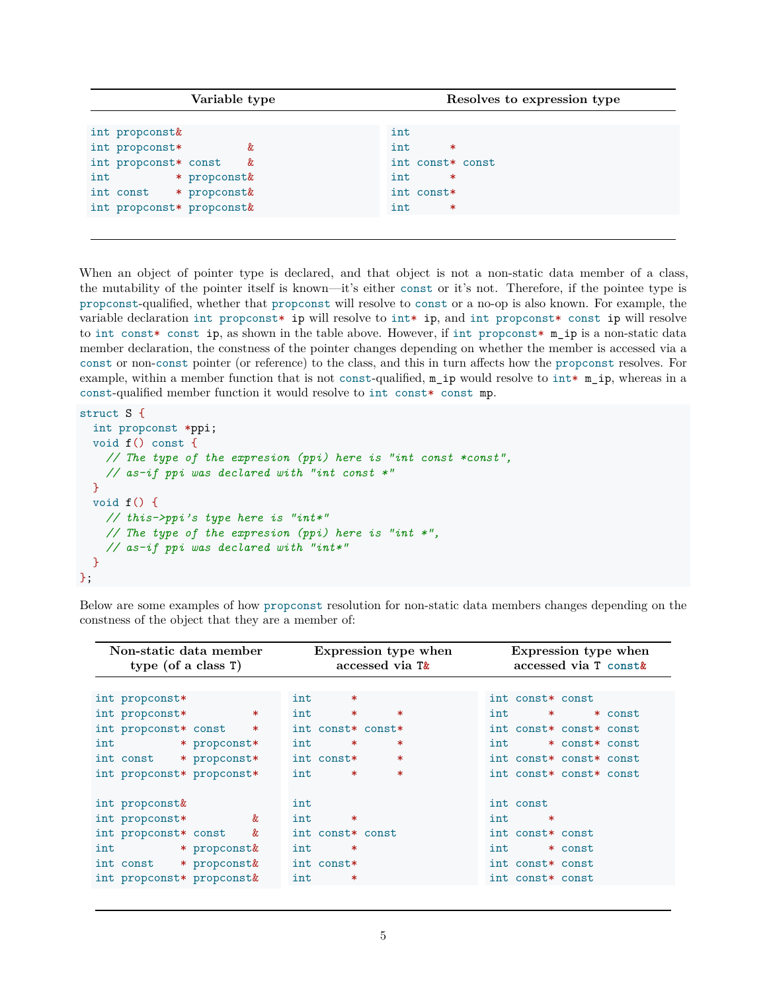| Variable type             | Resolves to expression type |
|---------------------------|-----------------------------|
|                           |                             |
| int propconst&            | int                         |
| int propconst*<br>&       | int<br>$\ast$               |
| int propconst* const<br>& | int const* const            |
| * propconst&<br>int       | $\ast$<br>int               |
| int const * propconst&    | int const*                  |
| int propconst* propconst& | int<br>$\ast$               |
|                           |                             |

When an object of pointer type is declared, and that object is not a non-static data member of a class, the mutability of the pointer itself is known—it's either const or it's not. Therefore, if the pointee type is propconst-qualified, whether that propconst will resolve to const or a no-op is also known. For example, the variable declaration int propconst\* ip will resolve to int\* ip, and int propconst\* const ip will resolve to int const\* const ip, as shown in the table above. However, if int propconst\* m\_ip is a non-static data member declaration, the constness of the pointer changes depending on whether the member is accessed via a const or non-const pointer (or reference) to the class, and this in turn affects how the propconst resolves. For example, within a member function that is not const-qualified, m\_ip would resolve to int\* m\_ip, whereas in a const-qualified member function it would resolve to int const\* const mp.

```
struct S {
  int propconst *ppi;
  void f() const {
    // The type of the expresion (ppi) here is "int const *const",
    // as-if ppi was declared with "int const *"
  }
  void f() {
    // this->ppi's type here is "int*"
    // The type of the expresion (ppi) here is "int *",
    // as-if ppi was declared with "int*"
  }
};
```
Below are some examples of how propconst resolution for non-static data members changes depending on the constness of the object that they are a member of:

| Expression type when | Expression type when<br>accessed via T const&                                                  |
|----------------------|------------------------------------------------------------------------------------------------|
|                      |                                                                                                |
| $\ast$               | int const* const                                                                               |
| $\ast$<br>$\ast$     | int<br>$\star$ $\sim$<br>* const                                                               |
|                      | int const* const* const                                                                        |
| $\ast$<br>$\ast$     | int<br>* const* const                                                                          |
| $\ast$               | int const* const* const                                                                        |
| $\ast$<br>$\ast$     | int const* const* const                                                                        |
|                      |                                                                                                |
|                      | int const                                                                                      |
| $\ast$               | int<br>$\ast$                                                                                  |
|                      | int const* const                                                                               |
| $\ast$               | int<br>* const                                                                                 |
|                      | int const* const                                                                               |
| $\ast$               | int const* const                                                                               |
|                      | accessed via $T_{\alpha}$<br>int const* const*<br>int const*<br>int const* const<br>int const* |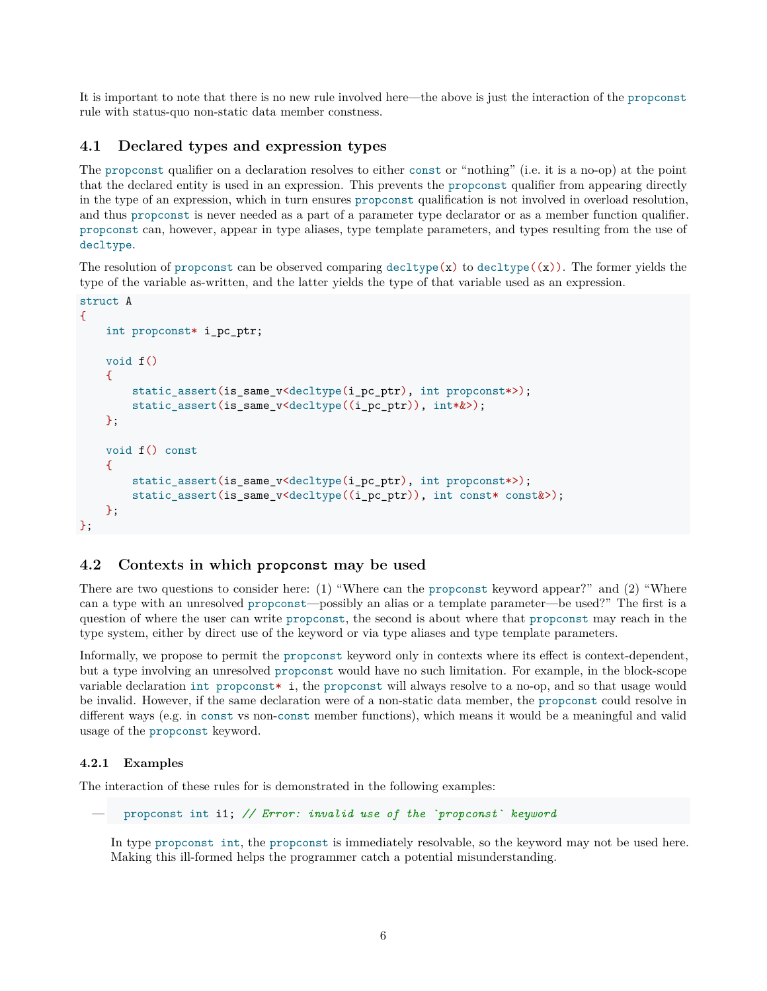It is important to note that there is no new rule involved here—the above is just the interaction of the propconst rule with status-quo non-static data member constness.

#### <span id="page-5-0"></span>**4.1 Declared types and expression types**

The propconst qualifier on a declaration resolves to either const or "nothing" (i.e. it is a no-op) at the point that the declared entity is used in an expression. This prevents the propconst qualifier from appearing directly in the type of an expression, which in turn ensures propconst qualification is not involved in overload resolution, and thus propconst is never needed as a part of a parameter type declarator or as a member function qualifier. propconst can, however, appear in type aliases, type template parameters, and types resulting from the use of decltype.

The resolution of propconst can be observed comparing decltype( $\mathbf{x}$ ) to decltype( $\mathbf{x}$ )). The former yields the type of the variable as-written, and the latter yields the type of that variable used as an expression.

```
struct A
{
    int propconst* i_pc_ptr;
    void f()
    \mathcal{L}static_assert(is_same_v<decltype(i_pc_ptr), int propconst*>);
        static_assert(is_same_v<decltype((i_pc_ptr)), int*&>);
    };
    void f() const
    \mathcal{L}static_assert(is_same_v<decltype(i_pc_ptr), int propconst*>);
        static_assert(is_same_v<decltype((i_pc_ptr)), int const* const&>);
    };
};
```
#### <span id="page-5-1"></span>**4.2 Contexts in which propconst may be used**

There are two questions to consider here: (1) "Where can the propconst keyword appear?" and (2) "Where can a type with an unresolved propconst—possibly an alias or a template parameter—be used?" The first is a question of where the user can write propconst, the second is about where that propconst may reach in the type system, either by direct use of the keyword or via type aliases and type template parameters.

Informally, we propose to permit the propconst keyword only in contexts where its effect is context-dependent, but a type involving an unresolved propconst would have no such limitation. For example, in the block-scope variable declaration int propconst\* i, the propconst will always resolve to a no-op, and so that usage would be invalid. However, if the same declaration were of a non-static data member, the propconst could resolve in different ways (e.g. in const vs non-const member functions), which means it would be a meaningful and valid usage of the propconst keyword.

#### <span id="page-5-2"></span>**4.2.1 Examples**

The interaction of these rules for is demonstrated in the following examples:

```
— propconst int i1; // Error: invalid use of the `propconst` keyword
```
In type propconst int, the propconst is immediately resolvable, so the keyword may not be used here. Making this ill-formed helps the programmer catch a potential misunderstanding.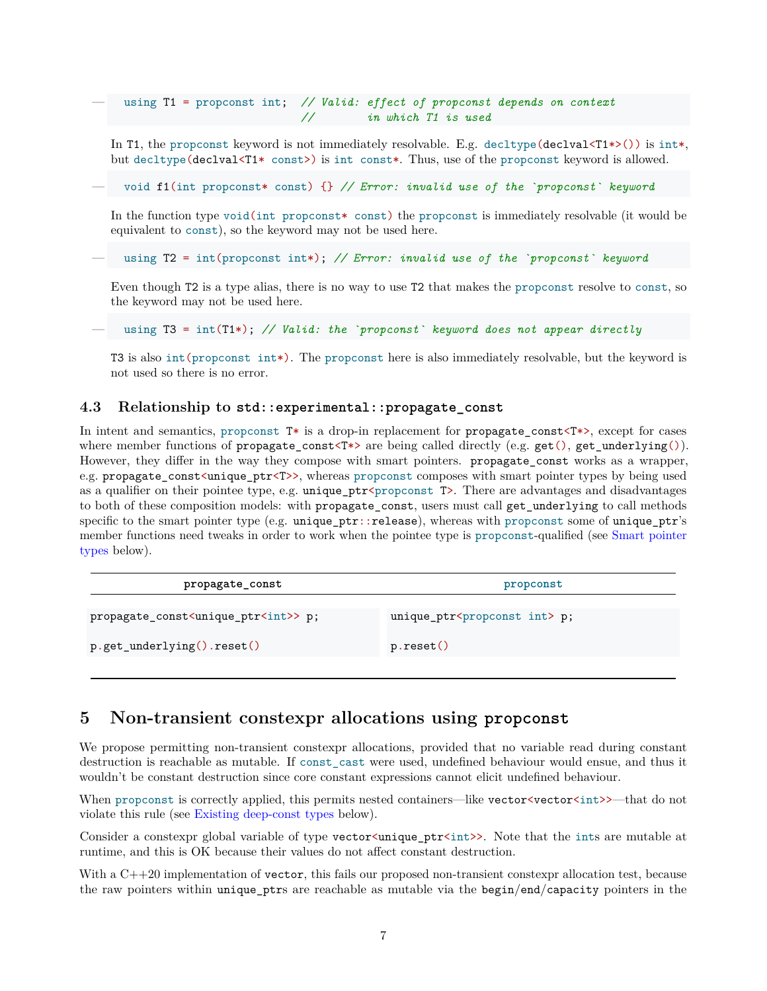— using T1 = propconst int; *// Valid: effect of propconst depends on context // in which T1 is used*

In T1, the propconst keyword is not immediately resolvable. E.g. decltype( $\text{dec1val}\leq T1*>()$ ) is int\*, but decltype(declval<T1\* const>) is int const\*. Thus, use of the propconst keyword is allowed.

— void f1(int propconst\* const) {} *// Error: invalid use of the `propconst` keyword*

In the function type void(int propconst\* const) the propconst is immediately resolvable (it would be equivalent to const), so the keyword may not be used here.

— using T2 = int(propconst int\*); *// Error: invalid use of the `propconst` keyword*

Even though T2 is a type alias, there is no way to use T2 that makes the propconst resolve to const, so the keyword may not be used here.

— using T3 = int(T1\*); *// Valid: the `propconst` keyword does not appear directly*

T3 is also int(propconst int\*). The propconst here is also immediately resolvable, but the keyword is not used so there is no error.

#### <span id="page-6-0"></span>**4.3 Relationship to std::experimental::propagate\_const**

In intent and semantics, proponst  $T^*$  is a drop-in replacement for propagate\_const<T\*>, except for cases where member functions of propagate\_const<T\*> are being called directly (e.g.  $get($ ),  $get\_underlying()$ ). However, they differ in the way they compose with smart pointers. propagate\_const works as a wrapper, e.g. propagate\_const<unique\_ptr<T>>, whereas propconst composes with smart pointer types by being used as a qualifier on their pointee type, e.g. unique\_ptr<propconst T>. There are advantages and disadvantages to both of these composition models: with propagate const, users must call get underlying to call methods specific to the smart pointer type (e.g. unique\_ptr::release), whereas with propconst some of unique\_ptr's member functions need tweaks in order to work when the pointee type is propconst-qualified (see [Smart pointer](#page-8-3) [types](#page-8-3) below).

| propagate_const                                          | propconst                                    |  |
|----------------------------------------------------------|----------------------------------------------|--|
| propagate_const <unique_ptr<int>&gt; p;</unique_ptr<int> | unique_ptr <propconst int=""> p;</propconst> |  |
| p.get_underlying().reset()                               | p.reset()                                    |  |

### <span id="page-6-1"></span>**5 Non-transient constexpr allocations using propconst**

We propose permitting non-transient constexpr allocations, provided that no variable read during constant destruction is reachable as mutable. If const\_cast were used, undefined behaviour would ensue, and thus it wouldn't be constant destruction since core constant expressions cannot elicit undefined behaviour.

When propconst is correctly applied, this permits nested containers—like vector<vector  $\langle$ int>>—that do not violate this rule (see [Existing deep-const types](#page-8-1) below).

Consider a constexpr global variable of type vector<unique\_ptr<int>>>. Note that the ints are mutable at runtime, and this is OK because their values do not affect constant destruction.

With a C++20 implementation of vector, this fails our proposed non-transient constexpr allocation test, because the raw pointers within unique\_ptrs are reachable as mutable via the begin/end/capacity pointers in the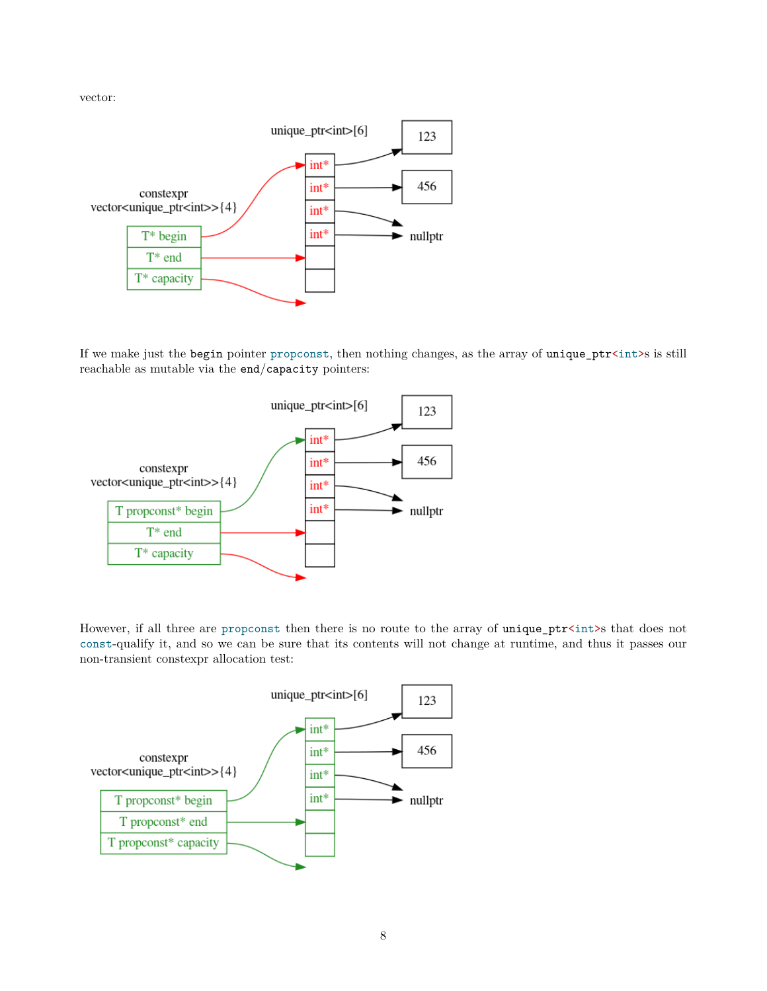vector:



If we make just the begin pointer propconst, then nothing changes, as the array of unique\_ptr<int>s is still reachable as mutable via the end/capacity pointers:



However, if all three are propconst then there is no route to the array of unique\_ptr<int>s that does not const-qualify it, and so we can be sure that its contents will not change at runtime, and thus it passes our non-transient constexpr allocation test:

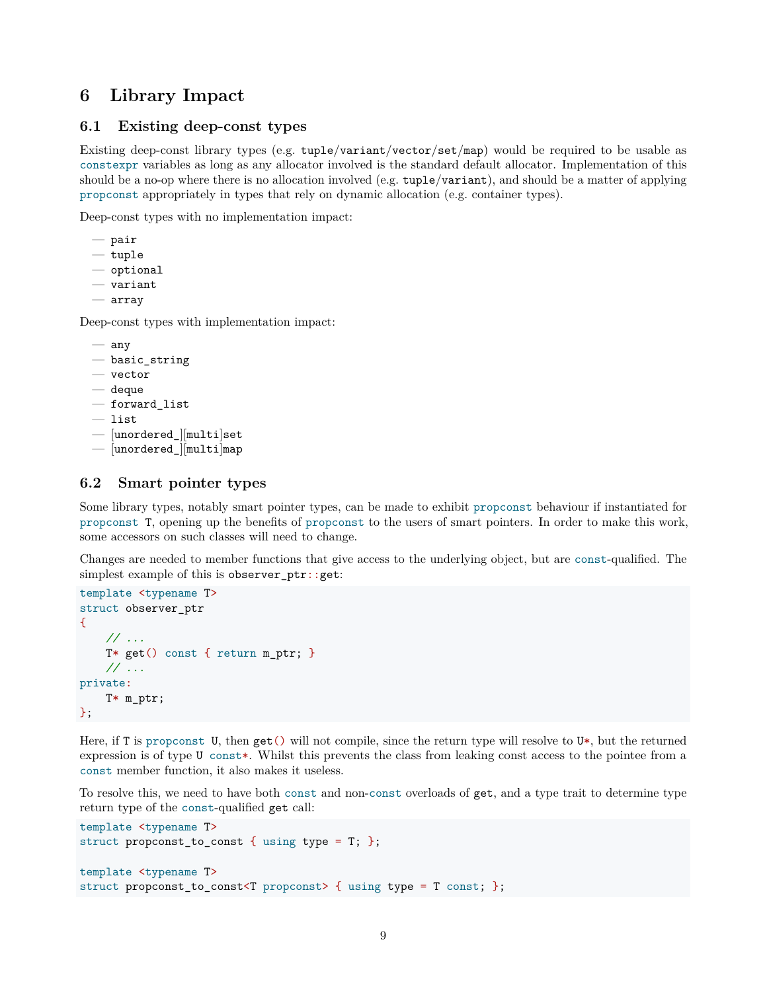# <span id="page-8-0"></span>**6 Library Impact**

#### <span id="page-8-1"></span>**6.1 Existing deep-const types**

Existing deep-const library types (e.g. tuple/variant/vector/set/map) would be required to be usable as constexpr variables as long as any allocator involved is the standard default allocator. Implementation of this should be a no-op where there is no allocation involved (e.g. tuple/variant), and should be a matter of applying propconst appropriately in types that rely on dynamic allocation (e.g. container types).

Deep-const types with no implementation impact:

- pair
- tuple
- optional
- variant
- array

Deep-const types with implementation impact:

```
— any
```
- basic\_string
- vector
- deque

```
— forward_list
```
- list
- [unordered\_][multi]set
- <span id="page-8-3"></span>— [unordered\_][multi]map

#### <span id="page-8-2"></span>**6.2 Smart pointer types**

Some library types, notably smart pointer types, can be made to exhibit propconst behaviour if instantiated for propconst T, opening up the benefits of propconst to the users of smart pointers. In order to make this work, some accessors on such classes will need to change.

Changes are needed to member functions that give access to the underlying object, but are const-qualified. The simplest example of this is observer  $ptr:get:$ 

```
template <typename T>
struct observer_ptr
\mathcal{L}// ...
    T* get() const { return m_ptr; }
    // ...
private:
    T* m_ptr;
};
```
Here, if T is propconst U, then get() will not compile, since the return type will resolve to U\*, but the returned expression is of type U const\*. Whilst this prevents the class from leaking const access to the pointee from a const member function, it also makes it useless.

To resolve this, we need to have both const and non-const overloads of get, and a type trait to determine type return type of the const-qualified get call:

```
template <typename T>
struct propconst_to_const { using type = T; };
template <typename T>
struct propconst_to_const<T propconst> { using type = T const; };
```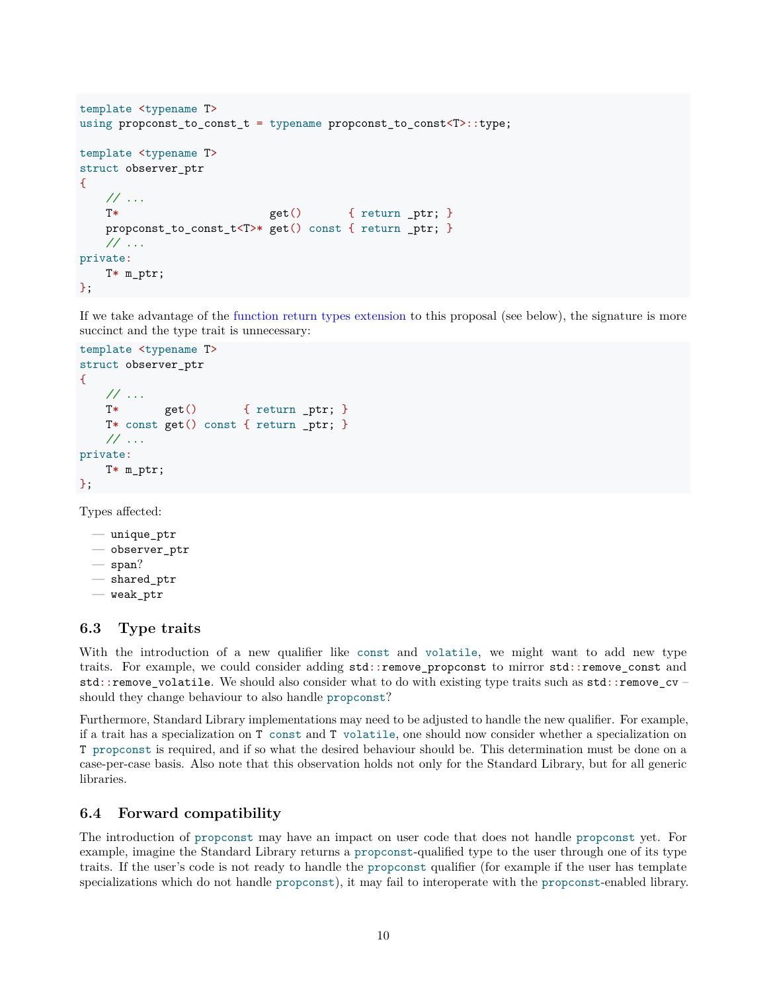```
template <typename T>
using propconst_to_const_t = typename propconst_to_const<T>::type;
template <typename T>
struct observer_ptr
{
   // ...
   T* get() { return _ptr; }
   propconst_to_const_t<T>* get() const { return _ptr; }
   // ...
private:
   T* m_ptr;
};
```
If we take advantage of the [function return types extension](#page-10-2) to this proposal (see below), the signature is more succinct and the type trait is unnecessary:

```
template <typename T>
struct observer_ptr
{
   // ...
   T* get() { return _ptr; }
   T* const get() const { return _ptr; }
   // ...
private:
   T* m_ptr;
};
```
Types affected:

```
— unique_ptr
— observer_ptr
- span?
— shared_ptr
- weak ptr
```
#### <span id="page-9-0"></span>**6.3 Type traits**

With the introduction of a new qualifier like const and volatile, we might want to add new type traits. For example, we could consider adding std::remove\_propconst to mirror std::remove\_const and std::remove\_volatile. We should also consider what to do with existing type traits such as std::remove\_cv – should they change behaviour to also handle propconst?

Furthermore, Standard Library implementations may need to be adjusted to handle the new qualifier. For example, if a trait has a specialization on T const and T volatile, one should now consider whether a specialization on T propconst is required, and if so what the desired behaviour should be. This determination must be done on a case-per-case basis. Also note that this observation holds not only for the Standard Library, but for all generic libraries.

#### <span id="page-9-1"></span>**6.4 Forward compatibility**

The introduction of propconst may have an impact on user code that does not handle propconst yet. For example, imagine the Standard Library returns a propconst-qualified type to the user through one of its type traits. If the user's code is not ready to handle the propconst qualifier (for example if the user has template specializations which do not handle propconst), it may fail to interoperate with the propconst-enabled library.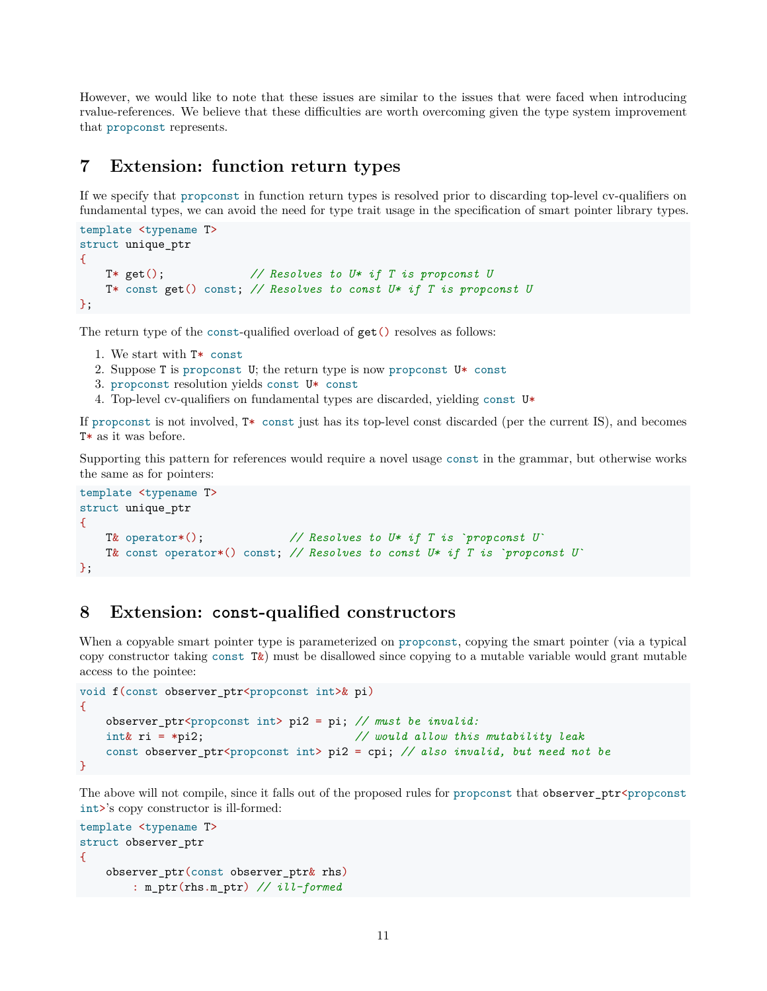However, we would like to note that these issues are similar to the issues that were faced when introducing rvalue-references. We believe that these difficulties are worth overcoming given the type system improvement that propconst represents.

### <span id="page-10-2"></span><span id="page-10-0"></span>**7 Extension: function return types**

If we specify that propconst in function return types is resolved prior to discarding top-level cv-qualifiers on fundamental types, we can avoid the need for type trait usage in the specification of smart pointer library types.

```
template <typename T>
struct unique_ptr
{
   T* get(); // Resolves to U* if T is propconst U
   T* const get() const; // Resolves to const U* if T is propconst U
};
```
The return type of the const-qualified overload of get() resolves as follows:

- 1. We start with T\* const
- 2. Suppose T is propconst U; the return type is now propconst  $U^*$  const
- 3. propconst resolution yields const U\* const
- 4. Top-level cv-qualifiers on fundamental types are discarded, yielding const  $\mathtt{U} \ast$

If propconst is not involved, T\* const just has its top-level const discarded (per the current IS), and becomes T\* as it was before.

Supporting this pattern for references would require a novel usage const in the grammar, but otherwise works the same as for pointers:

```
template <typename T>
struct unique_ptr
{
   T& operator*(); // Resolves to U* if T is `propconst U`
   T& const operator*() const; // Resolves to const U* if T is `propconst U`
};
```
### <span id="page-10-1"></span>**8 Extension: const-qualified constructors**

When a copyable smart pointer type is parameterized on propconst, copying the smart pointer (via a typical copy constructor taking const T&) must be disallowed since copying to a mutable variable would grant mutable access to the pointee:

```
void f(const observer_ptr<propconst int>& pi)
{
   observer_ptr<propconst int> pi2 = pi; // must be invalid:
   int& ri = *pi2; // would allow this mutability leak
   const observer_ptr<propconst int> pi2 = cpi; // also invalid, but need not be
}
```
The above will not compile, since it falls out of the proposed rules for propconst that observer\_ptr<propconst int>'s copy constructor is ill-formed:

```
template <typename T>
struct observer_ptr
{
    observer ptr(const observer ptr\& rhs)
        : m_ptr(rhs.m_ptr) // ill-formed
```